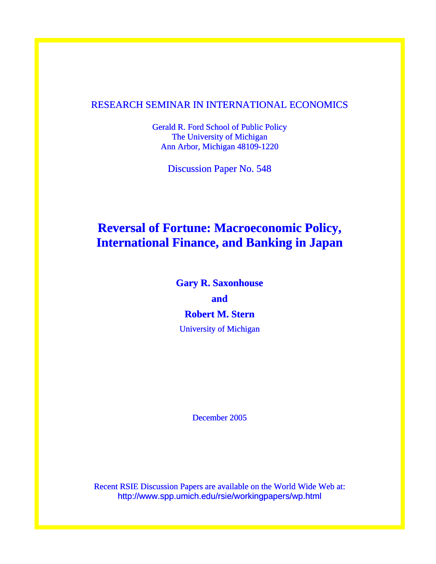# RESEARCH SEMINAR IN INTERNATIONAL ECONOMICS

Gerald R. Ford School of Public Policy The University of Michigan Ann Arbor, Michigan 48109-1220

Discussion Paper No. 548

# **Reversal of Fortune: Macroeconomic Policy, International Finance, and Banking in Japan**

**Gary R. Saxonhouse and Robert M. Stern**  University of Michigan

December 2005

Recent RSIE Discussion Papers are available on the World Wide Web at: http://www.spp.umich.edu/rsie/workingpapers/wp.html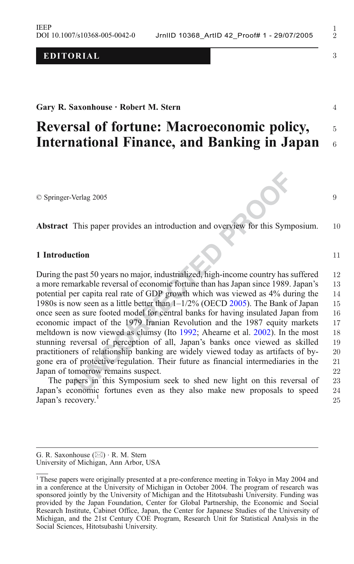EDITORIAL

Gary R. Saxonhouse . Robert M. Stern

# Reversal of fortune: Macroeconomic policy, International Finance, and Banking in Japan 6

© Springer-Verlag 2005

Abstract This paper provides an introduction and overview for this Symposium. 10

#### **1 Introduction** 11

Verlag 2005<br>
This paper provides an introduction and overview for this Symp<br> **Coron complementary** and the paper provides an introduction<br>
past 50 years no major, industrialized, high-income country has s<br>
arkable reversal During the past 50 years no major, industrialized, high-income country has suffered 12 a more remarkable reversal of economic fortune than has Japan since 1989. Japan ' s 13 potential per capita real rate of GDP growth which was viewed as 4% during the 14 1980s is now seen as a little better than  $1-1/2\%$  (OECD 2005). The Bank of Japan 15 once seen as sure footed model for central banks for having insulated Japan from 16 economic impact of the 1979 Iranian Revolution and the 1987 equity markets 17 meltdown is now viewed as clumsy (Ito 1992; Ahearne et al. 2002). In the most 18 stunning reversal of perception of all, Japan 's banks once viewed as skilled 19 practitioners of relationship banking are widely viewed today as artifacts of by- 20 gone era of protective regulation. Their future as financial intermediaries in the 21 Japan of tomorrow remains suspect. 22

The papers in this Symposium seek to shed new light on this reversal of 23 Japan 's economic fortunes even as they also make new proposals to speed 24  $\text{Japan's recovery.}$ <sup>1</sup> 25

University of Michigan, Ann Arbor, USA

1  $\mathfrak{D}$ 

3

5

4

9

G. R. Saxonhouse ( $\boxtimes$ ) · R. M. Stern

<sup>1</sup> These papers were originally presented at a pre-conference meeting in Tokyo in May 2004 and in a conference at the University of Michigan in October 2004. The program of research was sponsored jointly by the University of Michigan and the Hitotsubashi University. Funding was provided by the Japan Foundation, Center for Global Partnership, the Economic and Social Research Institute, Cabinet Office, Japan, the Center for Japanese Studies of the University of Michigan, and the 21st Century COE Program, Research Unit for Statistical Analysis in the Social Sciences, Hitotsubashi University.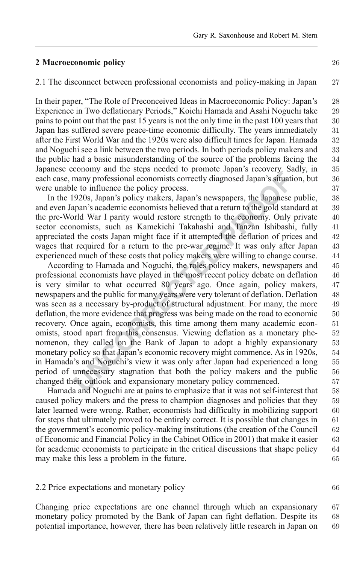#### 2 Macroeconomic policy 26

# 2.1 The disconnect between professional economists and policy-making in Japan 27

In their paper, "The Role of Preconceived Ideas in Macroeconomic Policy: Japan ' s 28 Experience in Two deflationary Periods, " Koichi Hamada and Asahi Noguchi take 29 pains to point out that the past 15 years is not the only time in the past 100 years that 30 Japan has suffered severe peace-time economic difficulty. The years immediately 31 after the First World War and the 1920s were also difficult times for Japan. Hamada 32 and Noguchi see a link between the two periods. In both periods policy makers and 33 the public had a basic misunderstanding of the source of the problems facing the 34 Japanese economy and the steps needed to promote Japan 's recovery. Sadly, in 35 each case, many professional economists correctly diagnosed Japan 's situation, but 36 were unable to influence the policy process.  $37$ 

In the 1920s, Japan 's policy makers, Japan 's newspapers, the Japanese public, 38 and even Japan 's academic economists believed that a return to the gold standard at 39 the pre-World War I parity would restore strength to the economy. Only private 40 sector economists, such as Kamekichi Takahashi and Tanzan Ishibashi, fully 41 appreciated the costs Japan might face if it attempted the deflation of prices and 42 wages that required for a return to the pre-war regime. It was only after Japan 43 experienced much of these costs that policy makers were willing to change course. 44

many professional economists correctly diagnosed Japan's situatie to influence the policy process.<br>920s, Japan's policy makers, Japan's newspapers, the Japanese<br>920s, Japan's policy makers, Japan's newspapers, the Japanese According to Hamada and Noguchi, the roles policy makers, newspapers and 45 professional economists have played in the most recent policy debate on deflation 46 is very similar to what occurred 80 years ago. Once again, policy makers, 47 newspapers and the public for many years were very tolerant of deflation. Deflation 48 was seen as a necessary by-product of structural adjustment. For many, the more 49 deflation, the more evidence that progress was being made on the road to economic 50 recovery. Once again, economists, this time among them many academic econ- 51 omists, stood apart from this consensus. Viewing deflation as a monetary phe- 52 nomenon, they called on the Bank of Japan to adopt a highly expansionary 53 monetary policy so that Japan's economic recovery might commence. As in 1920s, 54 in Hamada 's and Noguchi 's view it was only after Japan had experienced a long 55 period of unnecessary stagnation that both the policy makers and the public 56 changed their outlook and expansionary monetary policy commenced. 57

Hamada and Noguchi are at pains to emphasize that it was not self-interest that 58 caused policy makers and the press to champion diagnoses and policies that they 59 later learned were wrong. Rather, economists had difficulty in mobilizing support 60 for steps that ultimately proved to be entirely correct. It is possible that changes in 61 the government's economic policy-making institutions (the creation of the Council 62 of Economic and Financial Policy in the Cabinet Office in 2001) that make it easier 63 for academic economists to participate in the critical discussions that shape policy 64 may make this less a problem in the future. 65

2.2 Price expectations and monetary policy 66

Changing price expectations are one channel through which an expansionary 67 monetary policy promoted by the Bank of Japan can fight deflation. Despite its 68 potential importance, however, there has been relatively little research in Japan on 69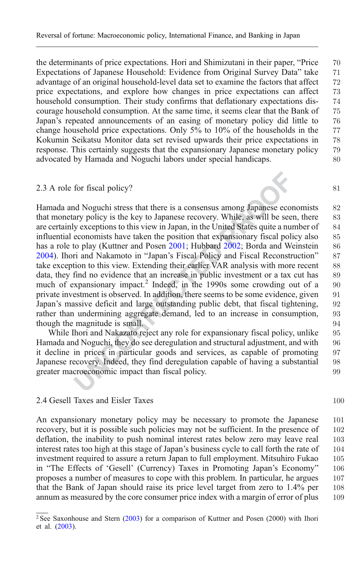the determinants of price expectations. Hori and Shimizutani in their paper, "Price 70 Expectations of Japanese Household: Evidence from Original Survey Data " take 71 advantage of an original household-level data set to examine the factors that affect 72 price expectations, and explore how changes in price expectations can affect 73 household consumption. Their study confirms that deflationary expectations dis- 74 courage household consumption. At the same time, it seems clear that the Bank of 75 Japan 's repeated announcements of an easing of monetary policy did little to 76 change household price expectations. Only 5% to 10% of the households in the 77 Kokumin Seikatsu Monitor data set revised upwards their price expectations in 78 response. This certainly suggests that the expansionary Japanese monetary policy 79 advocated by Hamada and Noguchi labors under special handicaps. 80

#### 2.3 A role for fiscal policy? 81

for fiscal policy?<br>
Ad Noguchi stress that there is a consensus among Japanese ecor<br>
ary policy is the key to Japanese recovery. While, as will be seen<br>
y exceptions to this view in Japan, in the United States quite a nue<br> Hamada and Noguchi stress that there is a consensus among Japanese economists 82 that monetary policy is the key to Japanese recovery. While, as will be seen, there 83 are certainly exceptions to this view in Japan, in the United States quite a number of 84 influential economists have taken the position that expansionary fiscal policy also 85 has a role to play (Kuttner and Posen 2001; Hubbard 2002; Borda and Weinstein 86 [2004\)](#page-10-0). Ihori and Nakamoto in "Japan 's Fiscal Policy and Fiscal Reconstruction 87 take exception to this view. Extending their earlier VAR analysis with more recent 88 data, they find no evidence that an increase in public investment or a tax cut has 89 much of expansionary impact.<sup>2</sup> Indeed, in the 1990s some crowding out of a  $\qquad$  90 private investment is observed. In addition, there seems to be some evidence, given 91 Japan 's massive deficit and large outstanding public debt, that fiscal tightening, 92 rather than undermining aggregate demand, led to an increase in consumption, 93 though the magnitude is small.  $\qquad \qquad$  94

While Ihori and Nakazato reject any role for expansionary fiscal policy, unlike 95 Hamada and Noguchi, they do see deregulation and structural adjustment, and with 96 it decline in prices in particular goods and services, as capable of promoting 97 Japanese recovery. Indeed, they find deregulation capable of having a substantial 98 greater macroeconomic impact than fiscal policy. 99

#### 2.4 Gesell Taxes and Eisler Taxes 100

An expansionary monetary policy may be necessary to promote the Japanese 101 recovery, but it is possible such policies may not be sufficient. In the presence of 102 deflation, the inability to push nominal interest rates below zero may leave real 103 interest rates too high at this stage of Japan's business cycle to call forth the rate of 104 investment required to assure a return Japan to full employment. Mitsuhiro Fukao 105 in "The Effects of 'Gesell ' (Currency) Taxes in Promoting Japan 's Economy 106 proposes a number of measures to cope with this problem. In particular, he argues 107 that the Bank of Japan should raise its price level target from zero to 1.4% per 108 annum as measured by the core consumer price index with a margin of error of plus 109

<sup>&</sup>lt;sup>2</sup> See Saxonhouse and Stern [\(2003](#page-10-0)) for a comparison of Kuttner and Posen (2000) with Ihori et al. ([2003\)](#page-10-0).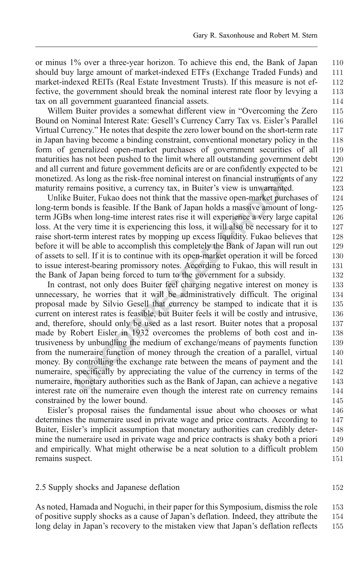or minus 1% over a three-year horizon. To achieve this end, the Bank of Japan 110 should buy large amount of market-indexed ETFs (Exchange Traded Funds) and 111 market-indexed REITs (Real Estate Investment Trusts). If this measure is not ef- 112 fective, the government should break the nominal interest rate floor by levying a 113 tax on all government guaranteed financial assets. 114

Willem Buiter provides a somewhat different view in "Overcoming the Zero 115 Bound on Nominal Interest Rate: Gesell 's Currency Carry Tax vs. Eisler 's Parallel 116 Virtual Currency. " He notes that despite the zero lower bound on the short-term rate 117 in Japan having become a binding constraint, conventional monetary policy in the 118 form of generalized open-market purchases of government securities of all 119 maturities has not been pushed to the limit where all outstanding government debt 120 and all current and future government deficits are or are confidently expected to be 121 monetized. As long as the risk-free nominal interest on financial instruments of any 122 maturity remains positive, a currency tax, in Buiter 's view is unwarranted. 123

Unlike Buiter, Fukao does not think that the massive open-market purchases of 124 long-term bonds is feasible. If the Bank of Japan holds a massive amount of long- 125 term JGBs when long-time interest rates rise it will experience a very large capital 126 loss. At the very time it is experiencing this loss, it will also be necessary for it to 127 raise short-term interest rates by mopping up excess liquidity. Fukao believes that 128 before it will be able to accomplish this completely the Bank of Japan will run out 129 of assets to sell. If it is to continue with its open-market operation it will be forced 130 to issue interest-bearing promissory notes. According to Fukao, this will result in 131 the Bank of Japan being forced to turn to the government for a subsidy. 132

As long as the risk-free nominal interest on financial instruments<br>mains positive, a currency tax, in Buiter's view is unwarranted.<br>Buiter, Fukao does not think that the massive open-market purch<br>onds is feasible. If the B In contrast, not only does Buiter feel charging negative interest on money is 133 unnecessary, he worries that it will be administratively difficult. The original 134 proposal made by Silvio Gesell that currency be stamped to indicate that it is 135 current on interest rates is feasible, but Buiter feels it will be costly and intrusive, 136 and, therefore, should only be used as a last resort. Buiter notes that a proposal 137 made by Robert Eisler in 1932 overcomes the problems of both cost and in- 138 trusiveness by unbundling the medium of exchange/means of payments function 139 from the numeraire function of money through the creation of a parallel, virtual 140 money. By controlling the exchange rate between the means of payment and the 141 numeraire, specifically by appreciating the value of the currency in terms of the 142 numeraire, monetary authorities such as the Bank of Japan, can achieve a negative 143 interest rate on the numeraire even though the interest rate on currency remains 144 constrained by the lower bound. 145

Eisler 's proposal raises the fundamental issue about who chooses or what 146 determines the numeraire used in private wage and price contracts. According to 147 Buiter, Eisler 's implicit assumption that monetary authorities can credibly deter- 148 mine the numeraire used in private wage and price contracts is shaky both a priori 149 and empirically. What might otherwise be a neat solution to a difficult problem 150 remains suspect. 151

2.5 Supply shocks and Japanese deflation 152

As noted, Hamada and Noguchi, in their paper for this Symposium, dismiss the role 153 of positive supply shocks as a cause of Japan 's deflation. Indeed, they attribute the 154 long delay in Japan's recovery to the mistaken view that Japan's deflation reflects 155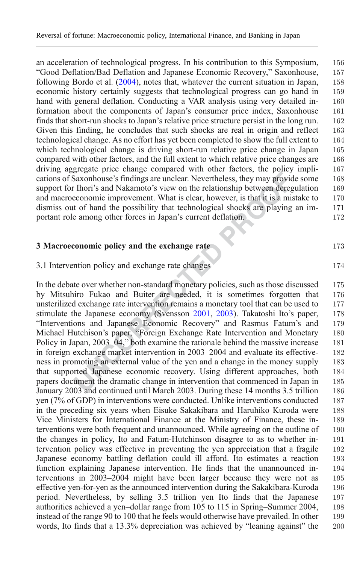an acceleration of technological progress. In his contribution to this Symposium, 156 "Good Deflation/Bad Deflation and Japanese Economic Recovery," Saxonhouse, 157 following Bordo et al. [\(2004\)](#page-10-0), notes that, whatever the current situation in Japan, 158 economic history certainly suggests that technological progress can go hand in 159 hand with general deflation. Conducting a VAR analysis using very detailed in-<br>160 formation about the components of Japan 's consumer price index, Saxonhouse 161 finds that short-run shocks to Japan 's relative price structure persist in the long run. 162 Given this finding, he concludes that such shocks are real in origin and reflect 163 technological change. As no effort has yet been completed to show the full extent to 164 which technological change is driving short-run relative price change in Japan 165 compared with other factors, and the full extent to which relative price changes are 166 driving aggregate price change compared with other factors, the policy impli- 167 cations of Saxonhouse 's findings are unclear. Nevertheless, they may provide some 168 support for Ihori's and Nakamoto's view on the relationship between deregulation 169 and macroeconomic improvement. What is clear, however, is that it is a mistake to 170 dismiss out of hand the possibility that technological shocks are playing an im- 171 portant role among other forces in Japan's current deflation. 172

# 3 Macroeconomic policy and the exchange rate 173

## 3.1 Intervention policy and exchange rate changes 174

Baxonhouse's findings are unclear. Nevertheless, they may provid<br>
Ihori's and Nakamoto's view on the relationship between derege<br>
economic improvement. What is clear, however, is that it is a mis<br>
t of hand the possibility In the debate over whether non-standard monetary policies, such as those discussed 175 by Mitsuhiro Fukao and Buiter are needed, it is sometimes forgotten that 176 unsterilized exchange rate intervention remains a monetary tool that can be used to 177 stimulate the Japanese economy (Svensson 2001 , 2003). Takatoshi Ito 's paper, 178 "Interventions and Japanese Economic Recovery " and Rasmus Fatum 's and 179 Michael Hutchison 's paper, "Foreign Exchange Rate Intervention and Monetary 180 Policy in Japan, 2003–04," both examine the rationale behind the massive increase 181 in foreign exchange market intervention in 2003 –2004 and evaluate its effective- 182 ness in promoting an external value of the yen and a change in the money supply 183 that supported Japanese economic recovery. Using different approaches, both 184 papers document the dramatic change in intervention that commenced in Japan in 185 January 2003 and continued until March 2003. During these 14 months 3.5 trillion 186 yen (7% of GDP) in interventions were conducted. Unlike interventions conducted 187 in the preceding six years when Eisuke Sakakibara and Haruhiko Kuroda were 188 Vice Ministers for International Finance at the Ministry of Finance, these in- 189 terventions were both frequent and unannounced. While agreeing on the outline of 190 the changes in policy, Ito and Fatum-Hutchinson disagree to as to whether in- 191 tervention policy was effective in preventing the yen appreciation that a fragile 192 Japanese economy battling deflation could ill afford. Ito estimates a reaction 193 function explaining Japanese intervention. He finds that the unannounced in- 194 terventions in 2003 –2004 might have been larger because they were not as 195 effective yen-for-yen as the announced intervention during the Sakakibara-Kuroda 196 period. Nevertheless, by selling 3.5 trillion yen Ito finds that the Japanese 197 authorities achieved a yen –dollar range from 105 to 115 in Spring –Summer 2004, 198 instead of the range 90 to 100 that he feels would otherwise have prevailed. In other 199 words, Ito finds that a 13.3% depreciation was achieved by "leaning against" the 200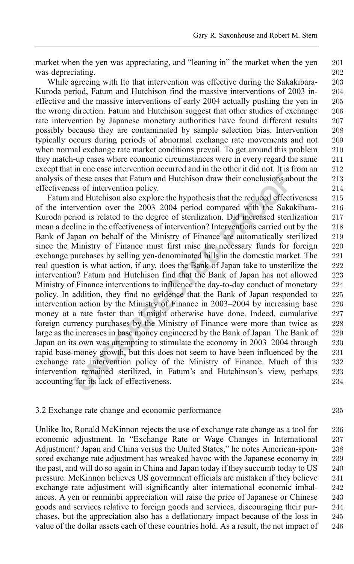market when the yen was appreciating, and "leaning in" the market when the yen 201 was depreciating. 202

While agreeing with Ito that intervention was effective during the Sakakibara- 203 Kuroda period, Fatum and Hutchison find the massive interventions of 2003 in- 204 effective and the massive interventions of early 2004 actually pushing the yen in 205 the wrong direction. Fatum and Hutchison suggest that other studies of exchange 206 rate intervention by Japanese monetary authorities have found different results 207 possibly because they are contaminated by sample selection bias. Intervention 208 typically occurs during periods of abnormal exchange rate movements and not 209 when normal exchange rate market conditions prevail. To get around this problem 210 they match-up cases where economic circumstances were in every regard the same 211 except that in one case intervention occurred and in the other it did not. It is from an 212 analysis of these cases that Fatum and Hutchison draw their conclusions about the 213 effectiveness of intervention policy. 214

these cases that Fatum and Hutchison draw their conclusions absome show the model of the transmood with the Saka (trivention over the 2003–2004 period compared with the Saka (trivention over the 2003–2004 period compared w Fatum and Hutchison also explore the hypothesis that the reduced effectiveness 215 of the intervention over the 2003 –2004 period compared with the Sakakibara- 216 Kuroda period is related to the degree of sterilization. Did increased sterilization 217 mean a decline in the effectiveness of intervention? Interventions carried out by the 218 Bank of Japan on behalf of the Ministry of Finance are automatically sterilized 219 since the Ministry of Finance must first raise the necessary funds for foreign 220 exchange purchases by selling yen-denominated bills in the domestic market. The 221 real question is what action, if any, does the Bank of Japan take to unsterilize the 222 intervention? Fatum and Hutchison find that the Bank of Japan has not allowed 223 Ministry of Finance interventions to influence the day-to-day conduct of monetary 224 policy. In addition, they find no evidence that the Bank of Japan responded to 225 intervention action by the Ministry of Finance in 2003 –2004 by increasing base 226 money at a rate faster than it might otherwise have done. Indeed, cumulative 227 foreign currency purchases by the Ministry of Finance were more than twice as 228 large as the increases in base money engineered by the Bank of Japan. The Bank of 229 Japan on its own was attempting to stimulate the economy in 2003 –2004 through 230 rapid base-money growth, but this does not seem to have been influenced by the 231 exchange rate intervention policy of the Ministry of Finance. Much of this 232 intervention remained sterilized, in Fatum 's and Hutchinson 's view, perhaps 233 accounting for its lack of effectiveness. 234

#### 3.2 Exchange rate change and economic performance 235

Unlike Ito, Ronald McKinnon rejects the use of exchange rate change as a tool for 236 economic adjustment. In "Exchange Rate or Wage Changes in International 237 Adjustment? Japan and China versus the United States, " he notes American-spon- 238 sored exchange rate adjustment has wreaked havoc with the Japanese economy in 239 the past, and will do so again in China and Japan today if they succumb today to US 240 pressure. McKinnon believes US government officials are mistaken if they believe 241 exchange rate adjustment will significantly alter international economic imbal- 242 ances. A yen or renminbi appreciation will raise the price of Japanese or Chinese 243 goods and services relative to foreign goods and services, discouraging their pur- 244 chases, but the appreciation also has a deflationary impact because of the loss in 245 value of the dollar assets each of these countries hold. As a result, the net impact of 246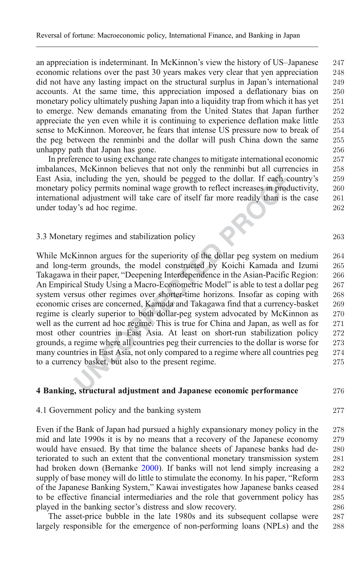an appreciation is indeterminant. In McKinnon 's view the history of US –Japanese 247 economic relations over the past 30 years makes very clear that yen appreciation 248 did not have any lasting impact on the structural surplus in Japan 's international 249 accounts. At the same time, this appreciation imposed a deflationary bias on 250 monetary policy ultimately pushing Japan into a liquidity trap from which it has yet 251 to emerge. New demands emanating from the United States that Japan further 252 appreciate the yen even while it is continuing to experience deflation make little 253 sense to McKinnon. Moreover, he fears that intense US pressure now to break of 254 the peg between the renminbi and the dollar will push China down the same 255 unhappy path that Japan has gone. 256

In preference to using exchange rate changes to mitigate international economic 257 imbalances, McKinnon believes that not only the renminbi but all currencies in 258 East Asia, including the yen, should be pegged to the dollar. If each country ' 259 monetary policy permits nominal wage growth to reflect increases in productivity, 260 international adjustment will take care of itself far more readily than is the case 261 under today's ad hoc regime. 262

# 3.3 Monetary regimes and stabilization policy 263

including the yen, should be pegged to the dollar. If each coolicy permits nominal wage growth to reflect increases in productional adjustment will take care of itself far more readily than is the y's ad hoc regime.<br>
Any r While McKinnon argues for the superiority of the dollar peg system on medium 264 and long-term grounds, the model constructed by Koichi Kamada and Izumi 265 Takagawa in their paper, "Deepening Interdependence in the Asian-Pacific Region: 266 An Empirical Study Using a Macro-Econometric Model" is able to test a dollar peg 267 system versus other regimes over shorter-time horizons. Insofar as coping with 268 economic crises are concerned, Kamada and Takagawa find that a currency-basket 269 regime is clearly superior to both dollar-peg system advocated by McKinnon as 270 well as the current ad hoc regime. This is true for China and Japan, as well as for 271 most other countries in East Asia. At least on short-run stabilization policy 272 grounds, a regime where all countries peg their currencies to the dollar is worse for 273 many countries in East Asia, not only compared to a regime where all countries peg 274 to a currency basket, but also to the present regime. 275

#### 4 Banking, structural adjustment and Japanese economic performance 276

4.1 Government policy and the banking system 277

Even if the Bank of Japan had pursued a highly expansionary money policy in the 278 mid and late 1990s it is by no means that a recovery of the Japanese economy 279 would have ensued. By that time the balance sheets of Japanese banks had de- 280 teriorated to such an extent that the conventional monetary transmission system 281 had broken down (Bernanke [2000](#page-10-0)). If banks will not lend simply increasing a 282 supply of base money will do little to stimulate the economy. In his paper, "Reform 283 of the Japanese Banking System, " Kawai investigates how Japanese banks ceased 284 to be effective financial intermediaries and the role that government policy has 285 played in the banking sector 's distress and slow recovery. 286

The asset-price bubble in the late 1980s and its subsequent collapse were 287 largely responsible for the emergence of non-performing loans (NPLs) and the 288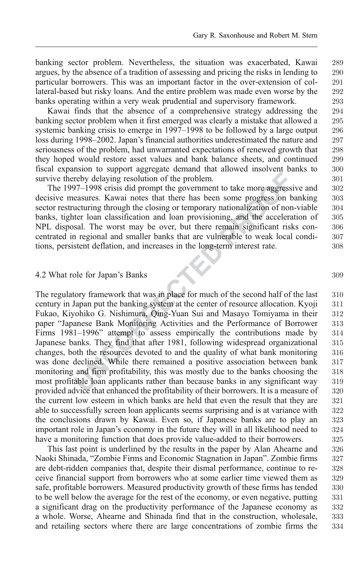banking sector problem. Nevertheless, the situation was exacerbated, Kawai 289 argues, by the absence of a tradition of assessing and pricing the risks in lending to 290 particular borrowers. This was an important factor in the over-extension of col- 291 lateral-based but risky loans. And the entire problem was made even worse by the 292 banks operating within a very weak prudential and supervisory framework. 293

Kawai finds that the absence of a comprehensive strategy addressing the 294 banking sector problem when it first emerged was clearly a mistake that allowed a 295 systemic banking crisis to emerge in 1997 –1998 to be followed by a large output 296 loss during 1998 –2002. Japan 's financial authorities underestimated the nature and 297 seriousness of the problem, had unwarranted expectations of renewed growth that 298 they hoped would restore asset values and bank balance sheets, and continued 299 fiscal expansion to support aggregate demand that allowed insolvent banks to 300 survive thereby delaying resolution of the problem. 301

The 1997 –1998 crisis did prompt the government to take more aggressive and 302 decisive measures. Kawai notes that there has been some progress on banking 303 sector restructuring through the closing or temporary nationalization of non-viable 304 banks, tighter loan classification and loan provisioning, and the acceleration of 305 NPL disposal. The worst may be over, but there remain significant risks con- 306 centrated in regional and smaller banks that are vulnerable to weak local condi- 307 tions, persistent deflation, and increases in the long-term interest rate. 308

### 4.2 What role for Japan's Banks 309

reby delaying resolution of the problem.<br>
T-1998 crisis did prompt the government to take more aggressi<br>
easures. Kawai notes that there has been some progress on b<br>
ucturing through the closing or temporary nationalizatio The regulatory framework that was in place for much of the second half of the last 310 century in Japan put the banking system at the center of resource allocation. Kyoji 311 Fukao, Kiyohiko G. Nishimura, Qing-Yuan Sui and Masayo Tomiyama in their 312 paper "Japanese Bank Monitoring Activities and the Performance of Borrower 313 Firms 1981-1996" attempt to assess empirically the contributions made by 314 Japanese banks. They find that after 1981, following widespread organizational 315 changes, both the resources devoted to and the quality of what bank monitoring 316 was done declined. While there remained a positive association between bank 317 monitoring and firm profitability, this was mostly due to the banks choosing the 318 most profitable loan applicants rather than because banks in any significant way 319 provided advice that enhanced the profitability of their borrowers. It is a measure of 320 the current low esteem in which banks are held that even the result that they are 321 able to successfully screen loan applicants seems surprising and is at variance with 322 the conclusions drawn by Kawai. Even so, if Japanese banks are to play an 323 important role in Japan 's economy in the future they will in all likelihood need to 324 have a monitoring function that does provide value-added to their borrowers.  $325$ 

This last point is underlined by the results in the paper by Alan Ahearne and 326 Naoki Shinada, "Zombie Firms and Economic Stagnation in Japan ". Zombie firms 327 are debt-ridden companies that, despite their dismal performance, continue to re- 328 ceive financial support from borrowers who at some earlier time viewed them as 329 safe, profitable borrowers. Measured productivity growth of these firms has tended 330 to be well below the average for the rest of the economy, or even negative, putting 331 a significant drag on the productivity performance of the Japanese economy as 332 a whole. Worse, Ahearne and Shinada find that in the construction, wholesale, 333 and retailing sectors where there are large concentrations of zombie firms the 334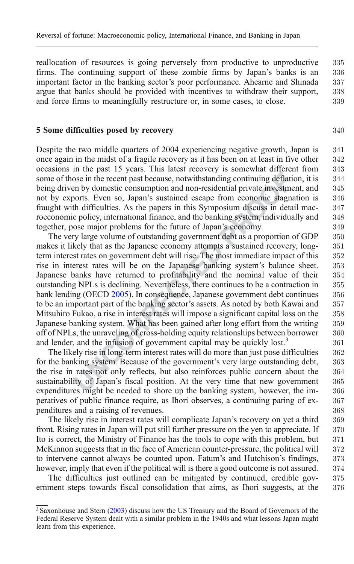reallocation of resources is going perversely from productive to unproductive 335 firms. The continuing support of these zombie firms by Japan 's banks is an 336 important factor in the banking sector 's poor performance. Ahearne and Shinada 337 argue that banks should be provided with incentives to withdraw their support, 338 and force firms to meaningfully restructure or, in some cases, to close. 339

#### 5 Some difficulties posed by recovery 340

Despite the two middle quarters of 2004 experiencing negative growth, Japan is 341 once again in the midst of a fragile recovery as it has been on at least in five other 342 occasions in the past 15 years. This latest recovery is somewhat different from 343 some of those in the recent past because, notwithstanding continuing deflation, it is  $344$ being driven by domestic consumption and non-residential private investment, and 345 not by exports. Even so, Japan 's sustained escape from economic stagnation is 346 fraught with difficulties. As the papers in this Symposium discuss in detail mac- 347 roeconomic policy, international finance, and the banking system, individually and 348 together, pose major problems for the future of Japan 's economy. 349

ose in the recent past because, notwithstanding continuing deflation by domestic consumption and non-residential private investments. Even so, Japan's sustained escape from economic stagnal th difficulties. As the papers i The very large volume of outstanding government debt as a proportion of GDP 350 makes it likely that as the Japanese economy attempts a sustained recovery, long- 351 term interest rates on government debt will rise. The most immediate impact of this 352 rise in interest rates will be on the Japanese banking system 's balance sheet. 353 Japanese banks have returned to profitability and the nominal value of their 354 outstanding NPLs is declining. Nevertheless, there continues to be a contraction in 355 bank lending (OECD 2005). In consequence, Japanese government debt continues 356 to be an important part of the banking sector 's assets. As noted by both Kawai and 357 Mitsuhiro Fukao, a rise in interest rates will impose a significant capital loss on the 358 Japanese banking system. What has been gained after long effort from the writing 359 off of NPLs, the unraveling of cross-holding equity relationships between borrower 360 and lender, and the infusion of government capital may be quickly lost.<sup>3</sup>  $361$ 

The likely rise in long-term interest rates will do more than just pose difficulties 362 for the banking system. Because of the government 's very large outstanding debt, 363 the rise in rates not only reflects, but also reinforces public concern about the 364 sustainability of Japan's fiscal position. At the very time that new government 365 expenditures might be needed to shore up the banking system, however, the im- 366 peratives of public finance require, as Ihori observes, a continuing paring of ex- 367 penditures and a raising of revenues. 368

The likely rise in interest rates will complicate Japan 's recovery on yet a third 369 front. Rising rates in Japan will put still further pressure on the yen to appreciate. If 370 Ito is correct, the Ministry of Finance has the tools to cope with this problem, but 371 McKinnon suggests that in the face of American counter-pressure, the political will 372 to intervene cannot always be counted upon. Fatum 's and Hutchison 's findings, 373 however, imply that even if the political will is there a good outcome is not assured. 374

The difficulties just outlined can be mitigated by continued, credible gov- 375 ernment steps towards fiscal consolidation that aims, as Ihori suggests, at the 376

<sup>3</sup> Saxonhouse and Stern ([2003](#page-10-0)) discuss how the US Treasury and the Board of Governors of the Federal Reserve System dealt with a similar problem in the 1940s and what lessons Japan might learn from this experience.